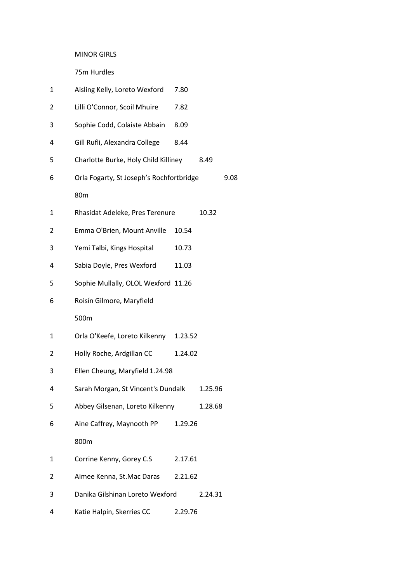#### MINOR GIRLS

75m Hurdles

| 1 | Aisling Kelly, Loreto Wexford            | 7.80    |         |      |
|---|------------------------------------------|---------|---------|------|
| 2 | Lilli O'Connor, Scoil Mhuire             | 7.82    |         |      |
| 3 | Sophie Codd, Colaiste Abbain             | 8.09    |         |      |
| 4 | Gill Rufli, Alexandra College            | 8.44    |         |      |
| 5 | Charlotte Burke, Holy Child Killiney     |         | 8.49    |      |
| 6 | Orla Fogarty, St Joseph's Rochfortbridge |         |         | 9.08 |
|   | 80 <sub>m</sub>                          |         |         |      |
| 1 | Rhasidat Adeleke, Pres Terenure          |         | 10.32   |      |
| 2 | Emma O'Brien, Mount Anville              | 10.54   |         |      |
| 3 | Yemi Talbi, Kings Hospital               | 10.73   |         |      |
| 4 | Sabia Doyle, Pres Wexford                | 11.03   |         |      |
| 5 | Sophie Mullally, OLOL Wexford 11.26      |         |         |      |
| 6 | Roisín Gilmore, Maryfield                |         |         |      |
|   | 500m                                     |         |         |      |
| 1 | Orla O'Keefe, Loreto Kilkenny            | 1.23.52 |         |      |
| 2 | Holly Roche, Ardgillan CC                | 1.24.02 |         |      |
| 3 | Ellen Cheung, Maryfield 1.24.98          |         |         |      |
| 4 | Sarah Morgan, St Vincent's Dundalk       |         | 1.25.96 |      |
| 5 | Abbey Gilsenan, Loreto Kilkenny          |         | 1.28.68 |      |
| 6 | Aine Caffrey, Maynooth PP                | 1.29.26 |         |      |
|   | 800m                                     |         |         |      |
| 1 | Corrine Kenny, Gorey C.S                 | 2.17.61 |         |      |
| 2 | Aimee Kenna, St.Mac Daras                | 2.21.62 |         |      |
| 3 | Danika Gilshinan Loreto Wexford          |         | 2.24.31 |      |
| 4 | Katie Halpin, Skerries CC                | 2.29.76 |         |      |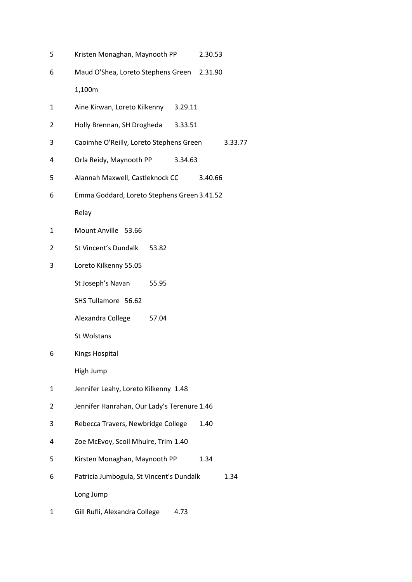- Kristen Monaghan, Maynooth PP 2.30.53 Maud O'Shea, Loreto Stephens Green 2.31.90 1,100m Aine Kirwan, Loreto Kilkenny 3.29.11 Holly Brennan, SH Drogheda 3.33.51 Caoimhe O'Reilly, Loreto Stephens Green 3.33.77 Orla Reidy, Maynooth PP 3.34.63 Alannah Maxwell, Castleknock CC 3.40.66 Emma Goddard, Loreto Stephens Green 3.41.52 Relay Mount Anville 53.66 St Vincent's Dundalk 53.82 Loreto Kilkenny 55.05 St Joseph's Navan 55.95 SHS Tullamore 56.62 Alexandra College 57.04 St Wolstans Kings Hospital High Jump Jennifer Leahy, Loreto Kilkenny 1.48 Jennifer Hanrahan, Our Lady's Terenure 1.46 Rebecca Travers, Newbridge College 1.40 Zoe McEvoy, Scoil Mhuire, Trim 1.40 Kirsten Monaghan, Maynooth PP 1.34 Patricia Jumbogula, St Vincent's Dundalk 1.34 Long Jump
- Gill Rufli, Alexandra College 4.73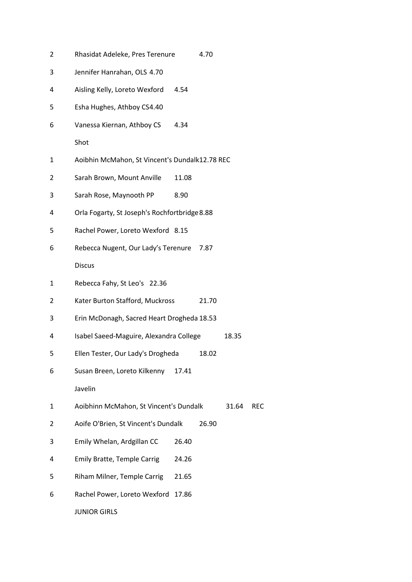| 2 | Rhasidat Adeleke, Pres Terenure                |       | 4.70  |       |            |
|---|------------------------------------------------|-------|-------|-------|------------|
| 3 | Jennifer Hanrahan, OLS 4.70                    |       |       |       |            |
| 4 | Aisling Kelly, Loreto Wexford                  | 4.54  |       |       |            |
| 5 | Esha Hughes, Athboy CS4.40                     |       |       |       |            |
| 6 | Vanessa Kiernan, Athboy CS                     | 4.34  |       |       |            |
|   | Shot                                           |       |       |       |            |
| 1 | Aoibhin McMahon, St Vincent's Dundalk12.78 REC |       |       |       |            |
| 2 | Sarah Brown, Mount Anville                     | 11.08 |       |       |            |
| 3 | Sarah Rose, Maynooth PP                        | 8.90  |       |       |            |
| 4 | Orla Fogarty, St Joseph's Rochfortbridge 8.88  |       |       |       |            |
| 5 | Rachel Power, Loreto Wexford 8.15              |       |       |       |            |
| 6 | Rebecca Nugent, Our Lady's Terenure            |       | 7.87  |       |            |
|   | <b>Discus</b>                                  |       |       |       |            |
| 1 | Rebecca Fahy, St Leo's 22.36                   |       |       |       |            |
| 2 | Kater Burton Stafford, Muckross                |       | 21.70 |       |            |
| 3 | Erin McDonagh, Sacred Heart Drogheda 18.53     |       |       |       |            |
| 4 | Isabel Saeed-Maguire, Alexandra College        |       |       | 18.35 |            |
| 5 | Ellen Tester, Our Lady's Drogheda              |       | 18.02 |       |            |
| 6 | Susan Breen, Loreto Kilkenny                   | 17.41 |       |       |            |
|   | Javelin                                        |       |       |       |            |
| 1 | Aoibhinn McMahon, St Vincent's Dundalk         |       |       | 31.64 | <b>REC</b> |
| 2 | Aoife O'Brien, St Vincent's Dundalk            |       | 26.90 |       |            |
| 3 | Emily Whelan, Ardgillan CC                     | 26.40 |       |       |            |
| 4 | <b>Emily Bratte, Temple Carrig</b>             | 24.26 |       |       |            |
| 5 | Riham Milner, Temple Carrig                    | 21.65 |       |       |            |
| 6 | Rachel Power, Loreto Wexford                   | 17.86 |       |       |            |
|   | <b>JUNIOR GIRLS</b>                            |       |       |       |            |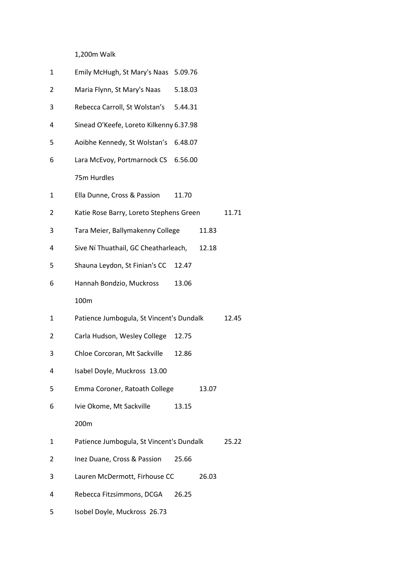## 1,200m Walk

| 1 | Emily McHugh, St Mary's Naas 5.09.76     |         |       |       |
|---|------------------------------------------|---------|-------|-------|
| 2 | Maria Flynn, St Mary's Naas              | 5.18.03 |       |       |
| 3 | Rebecca Carroll, St Wolstan's            | 5.44.31 |       |       |
| 4 | Sinead O'Keefe, Loreto Kilkenny 6.37.98  |         |       |       |
| 5 | Aoibhe Kennedy, St Wolstan's 6.48.07     |         |       |       |
| 6 | Lara McEvoy, Portmarnock CS 6.56.00      |         |       |       |
|   | 75m Hurdles                              |         |       |       |
| 1 | Ella Dunne, Cross & Passion              | 11.70   |       |       |
| 2 | Katie Rose Barry, Loreto Stephens Green  |         |       | 11.71 |
| 3 | Tara Meier, Ballymakenny College         |         | 11.83 |       |
| 4 | Sive Ní Thuathail, GC Cheatharleach,     |         | 12.18 |       |
| 5 | Shauna Leydon, St Finian's CC            | 12.47   |       |       |
| 6 | Hannah Bondzio, Muckross                 | 13.06   |       |       |
|   | 100m                                     |         |       |       |
| 1 | Patience Jumbogula, St Vincent's Dundalk |         |       | 12.45 |
| 2 | Carla Hudson, Wesley College             | 12.75   |       |       |
| 3 | Chloe Corcoran, Mt Sackville             | 12.86   |       |       |
| 4 | Isabel Doyle, Muckross 13.00             |         |       |       |
| 5 | Emma Coroner, Ratoath College            |         | 13.07 |       |
| 6 | Ivie Okome, Mt Sackville                 | 13.15   |       |       |
|   | 200m                                     |         |       |       |
| 1 | Patience Jumbogula, St Vincent's Dundalk |         |       | 25.22 |
| 2 | Inez Duane, Cross & Passion              | 25.66   |       |       |
| 3 | Lauren McDermott, Firhouse CC            |         | 26.03 |       |
| 4 | Rebecca Fitzsimmons, DCGA                | 26.25   |       |       |
|   |                                          |         |       |       |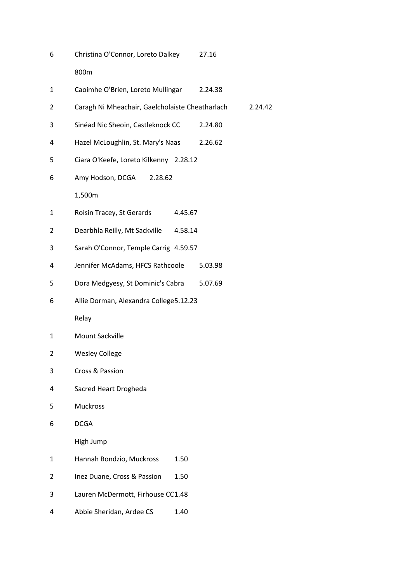| 6 | Christina O'Connor, Loreto Dalkey               |         | 27.16   |         |
|---|-------------------------------------------------|---------|---------|---------|
|   | 800m                                            |         |         |         |
| 1 | Caoimhe O'Brien, Loreto Mullingar               |         | 2.24.38 |         |
| 2 | Caragh Ni Mheachair, Gaelcholaiste Cheatharlach |         |         | 2.24.42 |
| 3 | Sinéad Nic Sheoin, Castleknock CC               |         | 2.24.80 |         |
| 4 | Hazel McLoughlin, St. Mary's Naas               |         | 2.26.62 |         |
| 5 | Ciara O'Keefe, Loreto Kilkenny 2.28.12          |         |         |         |
| 6 | Amy Hodson, DCGA<br>2.28.62                     |         |         |         |
|   | 1,500m                                          |         |         |         |
| 1 | Roisin Tracey, St Gerards                       | 4.45.67 |         |         |
| 2 | Dearbhla Reilly, Mt Sackville                   | 4.58.14 |         |         |
| 3 | Sarah O'Connor, Temple Carrig 4.59.57           |         |         |         |
| 4 | Jennifer McAdams, HFCS Rathcoole                |         | 5.03.98 |         |
| 5 | Dora Medgyesy, St Dominic's Cabra               |         | 5.07.69 |         |
| 6 | Allie Dorman, Alexandra College5.12.23          |         |         |         |
|   | Relay                                           |         |         |         |
| 1 | Mount Sackville                                 |         |         |         |
| 2 | <b>Wesley College</b>                           |         |         |         |
| 3 | Cross & Passion                                 |         |         |         |
| 4 | Sacred Heart Drogheda                           |         |         |         |
| 5 | <b>Muckross</b>                                 |         |         |         |
| 6 | <b>DCGA</b>                                     |         |         |         |
|   | High Jump                                       |         |         |         |
| 1 | Hannah Bondzio, Muckross                        | 1.50    |         |         |
| 2 | Inez Duane, Cross & Passion                     | 1.50    |         |         |
| 3 | Lauren McDermott, Firhouse CC1.48               |         |         |         |
| 4 | Abbie Sheridan, Ardee CS                        | 1.40    |         |         |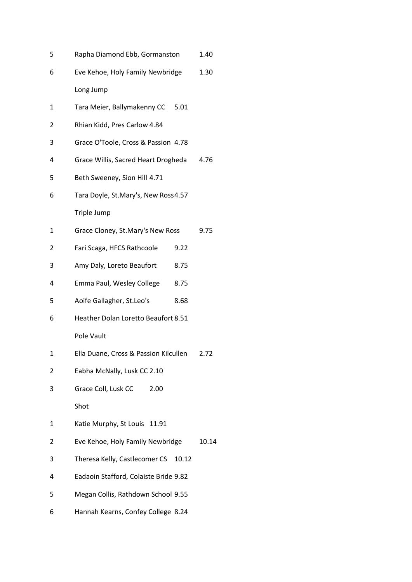| 5 | Rapha Diamond Ebb, Gormanston         |       | 1.40  |
|---|---------------------------------------|-------|-------|
| 6 | Eve Kehoe, Holy Family Newbridge      |       | 1.30  |
|   | Long Jump                             |       |       |
| 1 | Tara Meier, Ballymakenny CC           | 5.01  |       |
| 2 | Rhian Kidd, Pres Carlow 4.84          |       |       |
| 3 | Grace O'Toole, Cross & Passion 4.78   |       |       |
| 4 | Grace Willis, Sacred Heart Drogheda   |       | 4.76  |
| 5 | Beth Sweeney, Sion Hill 4.71          |       |       |
| 6 | Tara Doyle, St.Mary's, New Ross4.57   |       |       |
|   | Triple Jump                           |       |       |
| 1 | Grace Cloney, St.Mary's New Ross      |       | 9.75  |
| 2 | Fari Scaga, HFCS Rathcoole            | 9.22  |       |
| 3 | Amy Daly, Loreto Beaufort             | 8.75  |       |
| 4 | Emma Paul, Wesley College             | 8.75  |       |
| 5 | Aoife Gallagher, St.Leo's             | 8.68  |       |
| 6 | Heather Dolan Loretto Beaufort 8.51   |       |       |
|   | Pole Vault                            |       |       |
| 1 | Ella Duane, Cross & Passion Kilcullen |       | 2.72  |
| 2 | Eabha McNally, Lusk CC 2.10           |       |       |
| 3 | Grace Coll, Lusk CC<br>2.00           |       |       |
|   | Shot                                  |       |       |
| 1 | Katie Murphy, St Louis 11.91          |       |       |
| 2 | Eve Kehoe, Holy Family Newbridge      |       | 10.14 |
| 3 | Theresa Kelly, Castlecomer CS         | 10.12 |       |
| 4 | Eadaoin Stafford, Colaiste Bride 9.82 |       |       |
| 5 | Megan Collis, Rathdown School 9.55    |       |       |
| 6 | Hannah Kearns, Confey College 8.24    |       |       |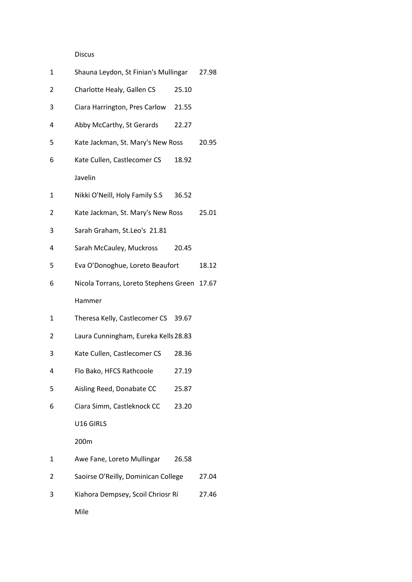# Discus

| 1 | Shauna Leydon, St Finian's Mullingar  |       | 27.98 |
|---|---------------------------------------|-------|-------|
| 2 | Charlotte Healy, Gallen CS            | 25.10 |       |
| 3 | Ciara Harrington, Pres Carlow 21.55   |       |       |
| 4 | Abby McCarthy, St Gerards             | 22.27 |       |
| 5 | Kate Jackman, St. Mary's New Ross     |       | 20.95 |
| 6 | Kate Cullen, Castlecomer CS           | 18.92 |       |
|   | Javelin                               |       |       |
| 1 | Nikki O'Neill, Holy Family S.S        | 36.52 |       |
| 2 | Kate Jackman, St. Mary's New Ross     |       | 25.01 |
| 3 | Sarah Graham, St.Leo's 21.81          |       |       |
| 4 | Sarah McCauley, Muckross              | 20.45 |       |
| 5 | Eva O'Donoghue, Loreto Beaufort       |       | 18.12 |
| 6 | Nicola Torrans, Loreto Stephens Green |       | 17.67 |
|   |                                       |       |       |
|   | Hammer                                |       |       |
| 1 | Theresa Kelly, Castlecomer CS 39.67   |       |       |
| 2 | Laura Cunningham, Eureka Kells 28.83  |       |       |
| 3 | Kate Cullen, Castlecomer CS           | 28.36 |       |
| 4 | Flo Bako, HFCS Rathcoole              | 27.19 |       |
| 5 | Aisling Reed, Donabate CC             | 25.87 |       |
| 6 | Ciara Simm, Castleknock CC            | 23.20 |       |
|   | U16 GIRLS                             |       |       |
|   | 200m                                  |       |       |
| 1 | Awe Fane, Loreto Mullingar            | 26.58 |       |
| 2 | Saoirse O'Reilly, Dominican College   |       | 27.04 |
| 3 | Kiahora Dempsey, Scoil Chriosr Rí     |       | 27.46 |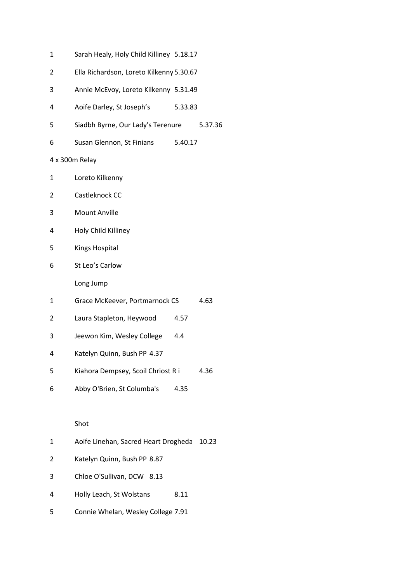| 1 | Sarah Healy, Holy Child Killiney 5.18.17 |         |         |
|---|------------------------------------------|---------|---------|
| 2 | Ella Richardson, Loreto Kilkenny 5.30.67 |         |         |
| 3 | Annie McEvoy, Loreto Kilkenny 5.31.49    |         |         |
| 4 | Aoife Darley, St Joseph's                | 5.33.83 |         |
| 5 | Siadbh Byrne, Our Lady's Terenure        |         | 5.37.36 |
| 6 | Susan Glennon, St Finians                | 5.40.17 |         |
|   | 4 x 300m Relay                           |         |         |
| 1 | Loreto Kilkenny                          |         |         |
| 2 | Castleknock CC                           |         |         |
| 3 | <b>Mount Anville</b>                     |         |         |
| 4 | Holy Child Killiney                      |         |         |
| 5 | <b>Kings Hospital</b>                    |         |         |
| 6 | St Leo's Carlow                          |         |         |
|   | Long Jump                                |         |         |
| 1 | Grace McKeever, Portmarnock CS           |         | 4.63    |
| 2 | Laura Stapleton, Heywood                 | 4.57    |         |
| 3 | Jeewon Kim, Wesley College               | 4.4     |         |
| 4 | Katelyn Quinn, Bush PP 4.37              |         |         |
| 5 | Kiahora Dempsey, Scoil Chriost R i       |         | 4.36    |
| 6 | Abby O'Brien, St Columba's               | 4.35    |         |
|   |                                          |         |         |
|   | Shot                                     |         |         |
| 1 | Aoife Linehan, Sacred Heart Drogheda     |         | 10.23   |
| 2 | Katelyn Quinn, Bush PP 8.87              |         |         |

- Chloe O'Sullivan, DCW 8.13
- Holly Leach, St Wolstans 8.11
- Connie Whelan, Wesley College 7.91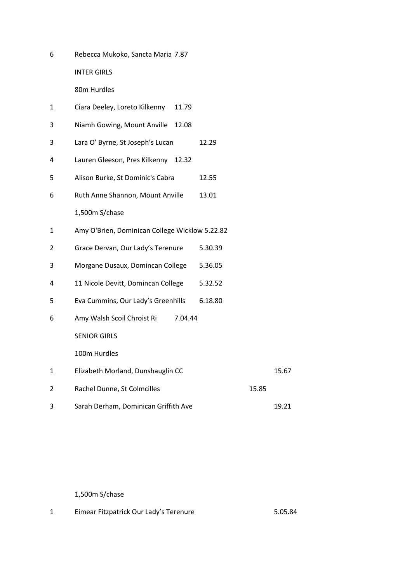Rebecca Mukoko, Sancta Maria 7.87

INTER GIRLS

80m Hurdles

- Ciara Deeley, Loreto Kilkenny 11.79
- Niamh Gowing, Mount Anville 12.08
- Lara O' Byrne, St Joseph's Lucan 12.29
- Lauren Gleeson, Pres Kilkenny 12.32
- Alison Burke, St Dominic's Cabra 12.55
- Ruth Anne Shannon, Mount Anville 13.01
	- 1,500m S/chase
- Amy O'Brien, Dominican College Wicklow 5.22.82
- Grace Dervan, Our Lady's Terenure 5.30.39
- Morgane Dusaux, Domincan College 5.36.05
- 11 Nicole Devitt, Domincan College 5.32.52
- Eva Cummins, Our Lady's Greenhills 6.18.80
- Amy Walsh Scoil Chroist Ri 7.04.44

SENIOR GIRLS

100m Hurdles

- Elizabeth Morland, Dunshauglin CC 15.67 2 Rachel Dunne, St Colmcilles 15.85
- 3 Sarah Derham, Dominican Griffith Ave 19.21

1,500m S/chase

Eimear Fitzpatrick Our Lady's Terenure 5.05.84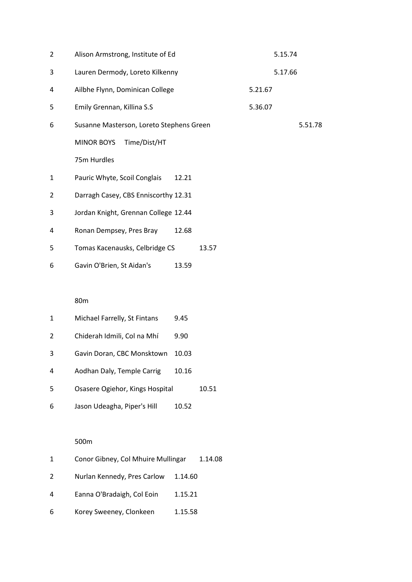| 2            | Alison Armstrong, Institute of Ed        | 5.15.74 |
|--------------|------------------------------------------|---------|
| 3            | Lauren Dermody, Loreto Kilkenny          | 5.17.66 |
| 4            | Ailbhe Flynn, Dominican College          | 5.21.67 |
| 5            | Emily Grennan, Killina S.S               | 5.36.07 |
| 6            | Susanne Masterson, Loreto Stephens Green | 5.51.78 |
|              | Time/Dist/HT<br><b>MINOR BOYS</b>        |         |
|              | 75m Hurdles                              |         |
| $\mathbf{1}$ | Pauric Whyte, Scoil Conglais<br>12.21    |         |
| 2            | Darragh Casey, CBS Enniscorthy 12.31     |         |
| 3            | Jordan Knight, Grennan College 12.44     |         |
| 4            | Ronan Dempsey, Pres Bray<br>12.68        |         |
| 5            | Tomas Kacenausks, Celbridge CS<br>13.57  |         |
| 6            | Gavin O'Brien, St Aidan's<br>13.59       |         |

## 80m

| 1  | Michael Farrelly, St Fintans    | 9.45  |       |
|----|---------------------------------|-------|-------|
| 2  | Chiderah Idmili, Col na Mhí     | 9.90  |       |
| 3  | Gavin Doran, CBC Monsktown      | 10.03 |       |
| 4  | Aodhan Daly, Temple Carrig      | 10.16 |       |
| .5 | Osasere Ogiehor, Kings Hospital |       | 10.51 |
| 6  | Jason Udeagha, Piper's Hill     | 10.52 |       |

## 500m

| $\mathbf{1}$ | Conor Gibney, Col Mhuire Mullingar |         | 1.14.08 |
|--------------|------------------------------------|---------|---------|
| 2            | Nurlan Kennedy, Pres Carlow        | 1.14.60 |         |
| 4            | Eanna O'Bradaigh, Col Eoin         | 1.15.21 |         |
| 6            | Korey Sweeney, Clonkeen            | 1.15.58 |         |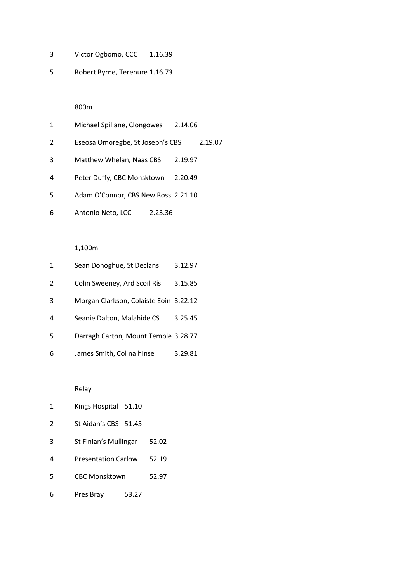- Victor Ogbomo, CCC 1.16.39
- Robert Byrne, Terenure 1.16.73

## 800m

| 1  | Michael Spillane, Clongowes         | 2.14.06 |
|----|-------------------------------------|---------|
| 2  | Eseosa Omoregbe, St Joseph's CBS    | 2.19.07 |
| 3  | Matthew Whelan, Naas CBS            | 2.19.97 |
| 4  | Peter Duffy, CBC Monsktown          | 2.20.49 |
| .5 | Adam O'Connor, CBS New Ross 2.21.10 |         |
| 6  | Antonio Neto, LCC<br>2.23.36        |         |

#### 1,100m

| 1 | Sean Donoghue, St Declans              | 3.12.97 |
|---|----------------------------------------|---------|
| 2 | Colin Sweeney, Ard Scoil Rís           | 3.15.85 |
| 3 | Morgan Clarkson, Colaiste Eoin 3.22.12 |         |
| 4 | Seanie Dalton, Malahide CS             | 3.25.45 |
| 5 | Darragh Carton, Mount Temple 3.28.77   |         |
| 6 | James Smith, Col na hInse              | 3.29.81 |

Relay

- Kings Hospital 51.10
- St Aidan's CBS 51.45
- St Finian's Mullingar 52.02
- Presentation Carlow 52.19
- CBC Monsktown 52.97
- Pres Bray 53.27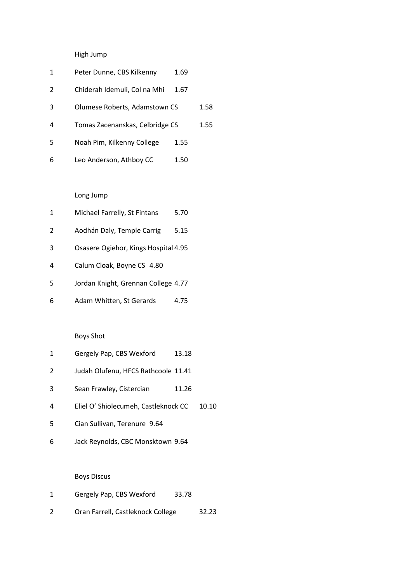# High Jump

| 1 | Peter Dunne, CBS Kilkenny       | 1.69 |      |
|---|---------------------------------|------|------|
| 2 | Chiderah Idemuli, Col na Mhi    | 1.67 |      |
| 3 | Olumese Roberts, Adamstown CS   |      | 1.58 |
| 4 | Tomas Zacenanskas, Celbridge CS |      | 1.55 |
| 5 | Noah Pim, Kilkenny College      | 1.55 |      |
| 6 | Leo Anderson, Athboy CC         | 1.50 |      |

# Long Jump

| 1 | Michael Farrelly, St Fintans         | 5.70 |
|---|--------------------------------------|------|
| 2 | Aodhán Daly, Temple Carrig           | 5.15 |
| 3 | Osasere Ogiehor, Kings Hospital 4.95 |      |
| 4 | Calum Cloak, Boyne CS 4.80           |      |
| 5 | Jordan Knight, Grennan College 4.77  |      |
| 6 | Adam Whitten, St Gerards             | 4.75 |

# Boys Shot

| 1 | Gergely Pap, CBS Wexford | 13.18 |
|---|--------------------------|-------|
|---|--------------------------|-------|

- Judah Olufenu, HFCS Rathcoole 11.41
- 3 Sean Frawley, Cistercian 11.26
- Eliel O' Shiolecumeh, Castleknock CC 10.10
- Cian Sullivan, Terenure 9.64
- Jack Reynolds, CBC Monsktown 9.64

## Boys Discus

- Gergely Pap, CBS Wexford 33.78
- Oran Farrell, Castleknock College 32.23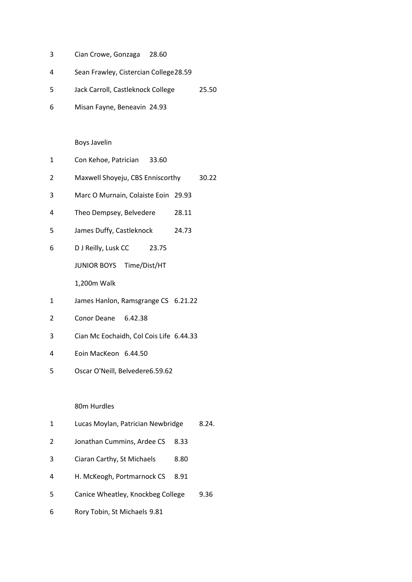- Cian Crowe, Gonzaga 28.60
- Sean Frawley, Cistercian College28.59
- Jack Carroll, Castleknock College 25.50
- Misan Fayne, Beneavin 24.93

Boys Javelin

- Con Kehoe, Patrician 33.60
- Maxwell Shoyeju, CBS Enniscorthy 30.22
- Marc O Murnain, Colaiste Eoin 29.93
- Theo Dempsey, Belvedere 28.11
- James Duffy, Castleknock 24.73
- D J Reilly, Lusk CC 23.75

JUNIOR BOYS Time/Dist/HT

1,200m Walk

- James Hanlon, Ramsgrange CS 6.21.22
- Conor Deane 6.42.38
- Cian Mc Eochaidh, Col Cois Life 6.44.33
- Eoin MacKeon 6.44.50
- Oscar O'Neill, Belvedere6.59.62

#### 80m Hurdles

- Lucas Moylan, Patrician Newbridge 8.24.
- Jonathan Cummins, Ardee CS 8.33
- Ciaran Carthy, St Michaels 8.80
- H. McKeogh, Portmarnock CS 8.91
- Canice Wheatley, Knockbeg College 9.36
- Rory Tobin, St Michaels 9.81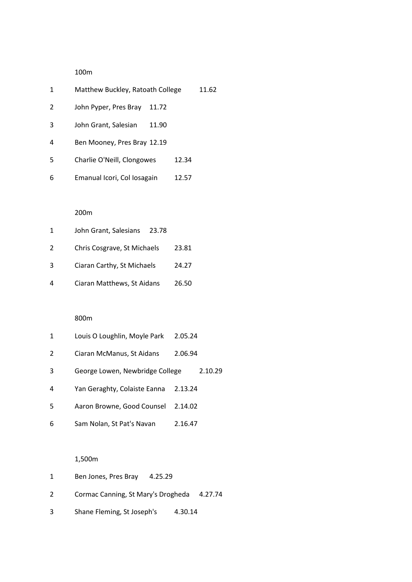100m

| 1 | Matthew Buckley, Ratoath College |       |       | 11.62 |
|---|----------------------------------|-------|-------|-------|
| 2 | John Pyper, Pres Bray            | 11.72 |       |       |
| 3 | John Grant, Salesian             | 11.90 |       |       |
| 4 | Ben Mooney, Pres Bray 12.19      |       |       |       |
| 5 | Charlie O'Neill, Clongowes       |       | 12.34 |       |
| 6 | Emanual Icori, Col Iosagain      |       | 12.57 |       |
|   |                                  |       |       |       |

## 200m

| 1 | John Grant, Salesians       | 23.78 |       |
|---|-----------------------------|-------|-------|
| 2 | Chris Cosgrave, St Michaels |       | 23.81 |
| 3 | Ciaran Carthy, St Michaels  |       | 24.27 |
| 4 | Ciaran Matthews, St Aidans  |       | 26.50 |

## 800m

| 1 | Louis O Loughlin, Moyle Park    | 2.05.24 |         |
|---|---------------------------------|---------|---------|
| 2 | Ciaran McManus, St Aidans       | 2.06.94 |         |
| 3 | George Lowen, Newbridge College |         | 2.10.29 |
| 4 | Yan Geraghty, Colaiste Eanna    | 2.13.24 |         |
| 5 | Aaron Browne, Good Counsel      | 2.14.02 |         |
| 6 | Sam Nolan, St Pat's Navan       | 2.16.47 |         |

# 1,500m

|   | Ben Jones, Pres Bray                       | 4.25.29 |  |
|---|--------------------------------------------|---------|--|
| 2 | Cormac Canning, St Mary's Drogheda 4.27.74 |         |  |
| 3 | Shane Fleming, St Joseph's                 | 4.30.14 |  |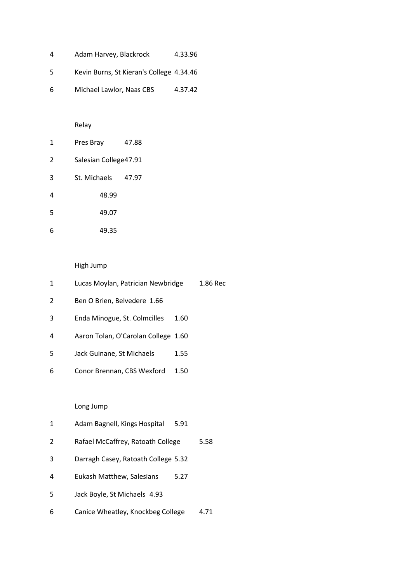| 4  | Adam Harvey, Blackrock                   | 4.33.96 |
|----|------------------------------------------|---------|
| .5 | Kevin Burns, St Kieran's College 4.34.46 |         |
| 6  | Michael Lawlor, Naas CBS                 | 4.37.42 |

# Relay

| 1 | Pres Bray              | 47.88 |
|---|------------------------|-------|
| 2 | Salesian College 47.91 |       |
| 3 | St. Michaels           | 47.97 |
| 4 | 48.99                  |       |
| 5 | 49.07                  |       |
| 6 | 49.35                  |       |

# High Jump

| 1 | Lucas Moylan, Patrician Newbridge   |      | 1.86 Rec |
|---|-------------------------------------|------|----------|
| 2 | Ben O Brien, Belvedere 1.66         |      |          |
| 3 | Enda Minogue, St. Colmcilles        | 1.60 |          |
| 4 | Aaron Tolan, O'Carolan College 1.60 |      |          |
| 5 | Jack Guinane, St Michaels           | 1.55 |          |
| 6 | Conor Brennan, CBS Wexford          | 1.50 |          |
|   |                                     |      |          |
|   | Long Jump                           |      |          |
| 1 | Adam Bagnell, Kings Hospital        | 5.91 |          |
| 2 | Rafael McCaffrey, Ratoath College   |      | 5.58     |
|   |                                     |      |          |

- Darragh Casey, Ratoath College 5.32
- Eukash Matthew, Salesians 5.27
- Jack Boyle, St Michaels 4.93
- Canice Wheatley, Knockbeg College 4.71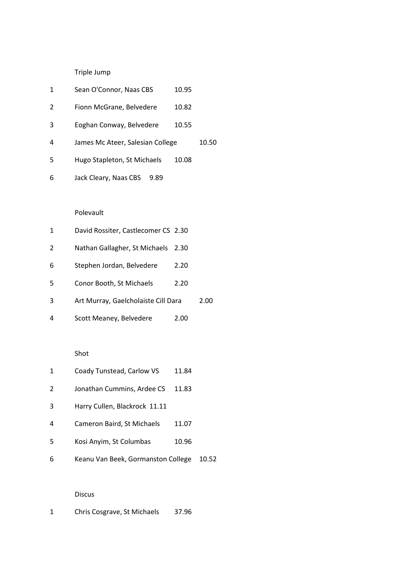Triple Jump

| 1              | Sean O'Connor, Naas CBS             | 10.95 |       |
|----------------|-------------------------------------|-------|-------|
| $\overline{2}$ | Fionn McGrane, Belvedere            | 10.82 |       |
| 3              | Eoghan Conway, Belvedere            | 10.55 |       |
| 4              | James Mc Ateer, Salesian College    |       | 10.50 |
| 5              | Hugo Stapleton, St Michaels         | 10.08 |       |
| 6              | Jack Cleary, Naas CBS<br>9.89       |       |       |
|                |                                     |       |       |
|                | Polevault                           |       |       |
| 1              | David Rossiter, Castlecomer CS 2.30 |       |       |
| 2              | Nathan Gallagher, St Michaels       | 2.30  |       |
| 6              | Stephen Jordan, Belvedere           | 2.20  |       |
| 5              | Conor Booth, St Michaels            | 2.20  |       |

- Art Murray, Gaelcholaiste Cill Dara 2.00
- Scott Meaney, Belvedere 2.00

#### Shot

|  | Coady Tunstead, Carlow VS | 11.84 |
|--|---------------------------|-------|
|--|---------------------------|-------|

- 2 Jonathan Cummins, Ardee CS 11.83
- Harry Cullen, Blackrock 11.11
- Cameron Baird, St Michaels 11.07
- Kosi Anyim, St Columbas 10.96
- Keanu Van Beek, Gormanston College 10.52

#### Discus

Chris Cosgrave, St Michaels 37.96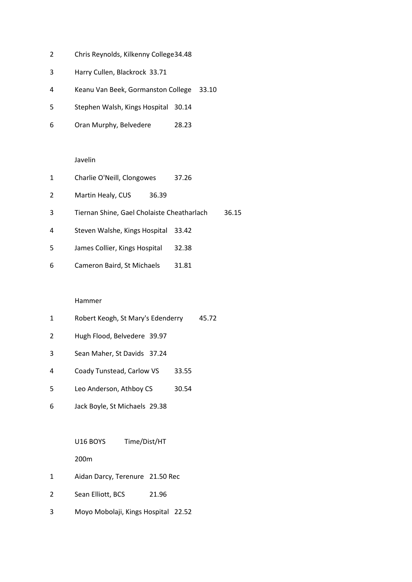- Chris Reynolds, Kilkenny College34.48
- Harry Cullen, Blackrock 33.71
- Keanu Van Beek, Gormanston College 33.10
- Stephen Walsh, Kings Hospital 30.14
- Oran Murphy, Belvedere 28.23

#### Javelin

| 1 | Charlie O'Neill, Clongowes                 | 37.26 |       |
|---|--------------------------------------------|-------|-------|
| 2 | Martin Healy, CUS<br>36.39                 |       |       |
| 3 | Tiernan Shine, Gael Cholaiste Cheatharlach |       | 36.15 |
| 4 | Steven Walshe, Kings Hospital              | 33.42 |       |
| 5 | James Collier, Kings Hospital              | 32.38 |       |
| 6 | Cameron Baird, St Michaels                 | 31.81 |       |

#### Hammer

- Robert Keogh, St Mary's Edenderry 45.72
- Hugh Flood, Belvedere 39.97
- Sean Maher, St Davids 37.24
- Coady Tunstead, Carlow VS 33.55
- 5 Leo Anderson, Athboy CS 30.54
- Jack Boyle, St Michaels 29.38

U16 BOYS Time/Dist/HT

200m

- Aidan Darcy, Terenure 21.50 Rec
- 2 Sean Elliott, BCS 21.96
- Moyo Mobolaji, Kings Hospital 22.52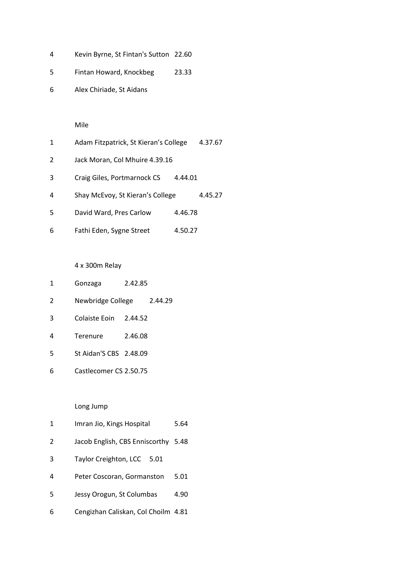- Kevin Byrne, St Fintan's Sutton 22.60
- Fintan Howard, Knockbeg 23.33
- Alex Chiriade, St Aidans

## Mile

| 1 | Adam Fitzpatrick, St Kieran's College |         | 4.37.67 |
|---|---------------------------------------|---------|---------|
| 2 | Jack Moran, Col Mhuire 4.39.16        |         |         |
| 3 | Craig Giles, Portmarnock CS           | 4.44.01 |         |
| 4 | Shay McEvoy, St Kieran's College      |         | 4.45.27 |
| 5 | David Ward, Pres Carlow               | 4.46.78 |         |
| 6 | Fathi Eden, Sygne Street              | 4.50.27 |         |

4 x 300m Relay

- Gonzaga 2.42.85
- Newbridge College 2.44.29
- Colaiste Eoin 2.44.52
- Terenure 2.46.08
- St Aidan'S CBS 2.48.09
- Castlecomer CS 2.50.75

## Long Jump

- Imran Jio, Kings Hospital 5.64
- Jacob English, CBS Enniscorthy 5.48
- Taylor Creighton, LCC 5.01
- Peter Coscoran, Gormanston 5.01
- Jessy Orogun, St Columbas 4.90
- Cengizhan Caliskan, Col Choilm 4.81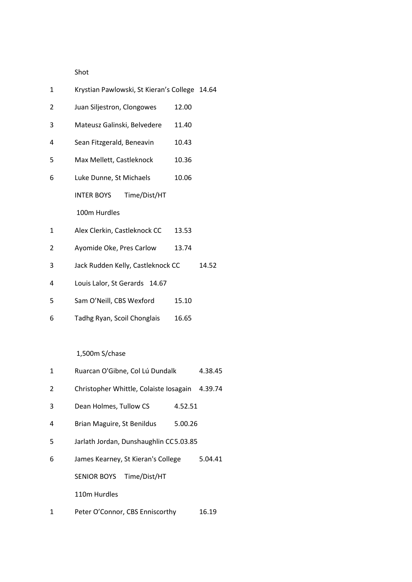Shot

| 1 | Krystian Pawlowski, St Kieran's College 14.64 |       |       |
|---|-----------------------------------------------|-------|-------|
| 2 | Juan Siljestron, Clongowes                    | 12.00 |       |
| 3 | Mateusz Galinski, Belvedere                   | 11.40 |       |
| 4 | Sean Fitzgerald, Beneavin                     | 10.43 |       |
| 5 | Max Mellett, Castleknock                      | 10.36 |       |
| 6 | Luke Dunne, St Michaels                       | 10.06 |       |
|   | <b>INTER BOYS</b><br>Time/Dist/HT             |       |       |
|   | 100m Hurdles                                  |       |       |
| 1 | Alex Clerkin, Castleknock CC                  | 13.53 |       |
| 2 | Ayomide Oke, Pres Carlow                      | 13.74 |       |
| 3 | Jack Rudden Kelly, Castleknock CC             |       | 14.52 |
| 4 | Louis Lalor, St Gerards 14.67                 |       |       |
| 5 | Sam O'Neill, CBS Wexford                      | 15.10 |       |
| 6 | Tadhg Ryan, Scoil Chonglais                   | 16.65 |       |
|   |                                               |       |       |

1,500m S/chase

| 1 | Ruarcan O'Gibne, Col Lú Dundalk        |         | 4.38.45 |
|---|----------------------------------------|---------|---------|
| 2 | Christopher Whittle, Colaiste Iosagain |         | 4.39.74 |
| 3 | Dean Holmes, Tullow CS                 | 4.52.51 |         |
| 4 | Brian Maguire, St Benildus             | 5.00.26 |         |
| 5 | Jarlath Jordan, Dunshaughlin CC5.03.85 |         |         |
| 6 | James Kearney, St Kieran's College     |         | 5.04.41 |
|   | <b>SENIOR BOYS</b><br>Time/Dist/HT     |         |         |
|   | 110m Hurdles                           |         |         |
| 1 | Peter O'Connor, CBS Enniscorthy        |         | 16.19   |